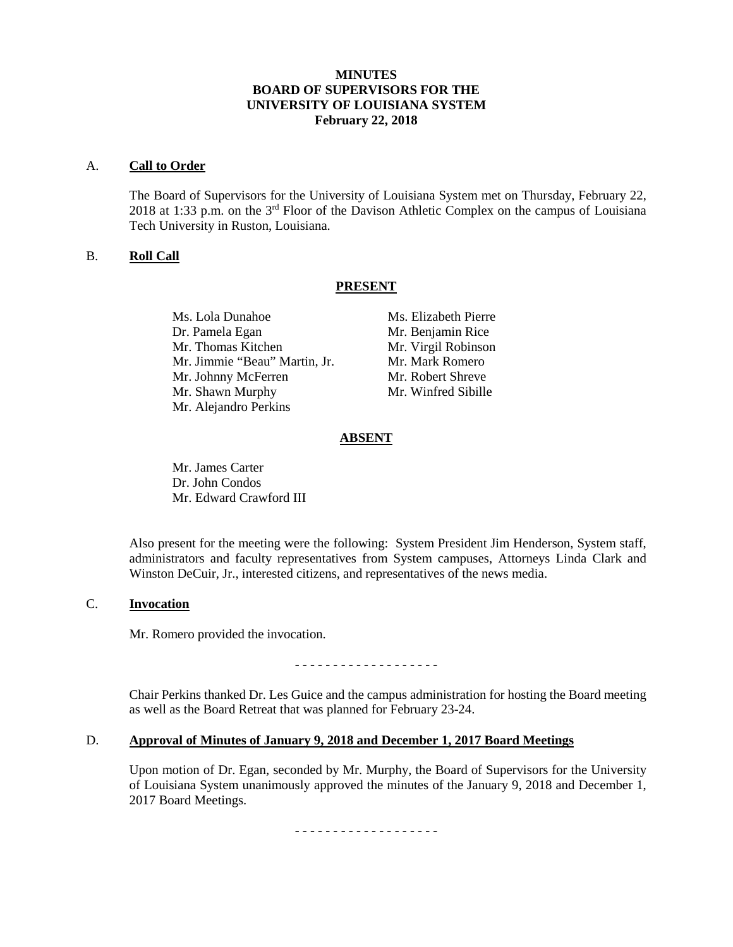# **MINUTES BOARD OF SUPERVISORS FOR THE UNIVERSITY OF LOUISIANA SYSTEM February 22, 2018**

#### A. **Call to Order**

The Board of Supervisors for the University of Louisiana System met on Thursday, February 22, 2018 at 1:33 p.m. on the 3rd Floor of the Davison Athletic Complex on the campus of Louisiana Tech University in Ruston, Louisiana.

## B. **Roll Call**

## **PRESENT**

Ms. Lola Dunahoe Ms. Elizabeth Pierre Dr. Pamela Egan Mr. Benjamin Rice Mr. Thomas Kitchen Mr. Virgil Robinson Mr. Jimmie "Beau" Martin, Jr. Mr. Mark Romero Mr. Johnny McFerren Mr. Robert Shreve Mr. Shawn Murphy Mr. Winfred Sibille Mr. Alejandro Perkins

## **ABSENT**

Mr. James Carter Dr. John Condos Mr. Edward Crawford III

Also present for the meeting were the following: System President Jim Henderson, System staff, administrators and faculty representatives from System campuses, Attorneys Linda Clark and Winston DeCuir, Jr., interested citizens, and representatives of the news media.

#### C. **Invocation**

Mr. Romero provided the invocation.

- - - - - - - - - - - - - - - - - - -

Chair Perkins thanked Dr. Les Guice and the campus administration for hosting the Board meeting as well as the Board Retreat that was planned for February 23-24.

## D. **Approval of Minutes of January 9, 2018 and December 1, 2017 Board Meetings**

Upon motion of Dr. Egan, seconded by Mr. Murphy, the Board of Supervisors for the University of Louisiana System unanimously approved the minutes of the January 9, 2018 and December 1, 2017 Board Meetings.

- - - - - - - - - - - - - - - - - - -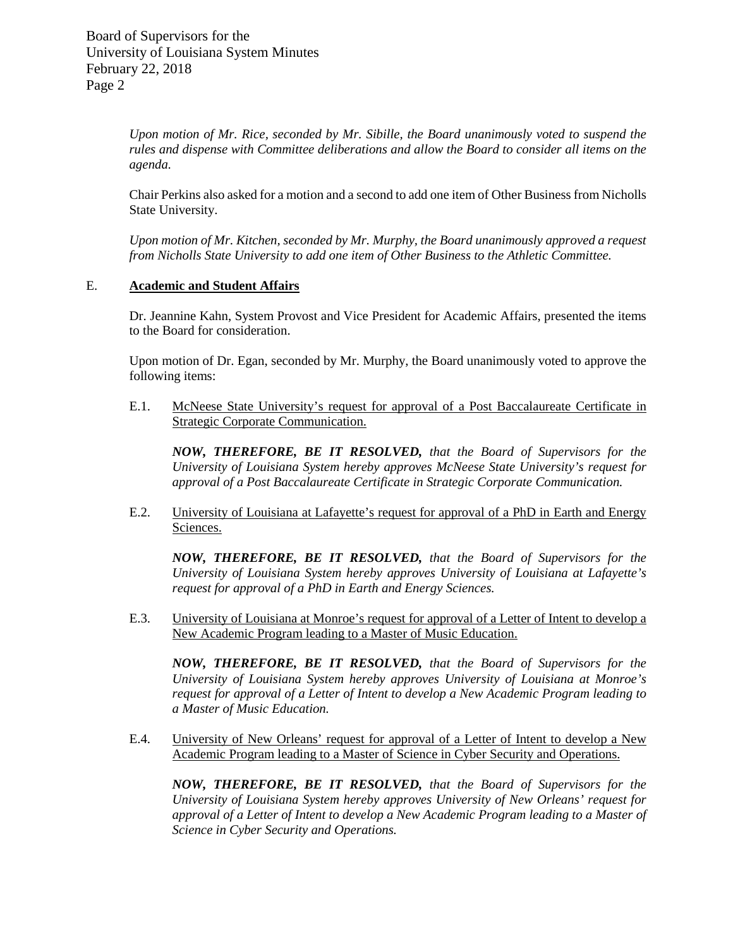> *Upon motion of Mr. Rice, seconded by Mr. Sibille, the Board unanimously voted to suspend the rules and dispense with Committee deliberations and allow the Board to consider all items on the agenda.*

> Chair Perkins also asked for a motion and a second to add one item of Other Business from Nicholls State University.

> *Upon motion of Mr. Kitchen, seconded by Mr. Murphy, the Board unanimously approved a request from Nicholls State University to add one item of Other Business to the Athletic Committee.*

## E. **Academic and Student Affairs**

Dr. Jeannine Kahn, System Provost and Vice President for Academic Affairs, presented the items to the Board for consideration.

Upon motion of Dr. Egan, seconded by Mr. Murphy, the Board unanimously voted to approve the following items:

E.1. McNeese State University's request for approval of a Post Baccalaureate Certificate in Strategic Corporate Communication.

*NOW, THEREFORE, BE IT RESOLVED, that the Board of Supervisors for the University of Louisiana System hereby approves McNeese State University's request for approval of a Post Baccalaureate Certificate in Strategic Corporate Communication.*

E.2. University of Louisiana at Lafayette's request for approval of a PhD in Earth and Energy Sciences.

*NOW, THEREFORE, BE IT RESOLVED, that the Board of Supervisors for the University of Louisiana System hereby approves University of Louisiana at Lafayette's request for approval of a PhD in Earth and Energy Sciences.*

E.3. University of Louisiana at Monroe's request for approval of a Letter of Intent to develop a New Academic Program leading to a Master of Music Education.

*NOW, THEREFORE, BE IT RESOLVED, that the Board of Supervisors for the University of Louisiana System hereby approves University of Louisiana at Monroe's request for approval of a Letter of Intent to develop a New Academic Program leading to a Master of Music Education.* 

E.4. University of New Orleans' request for approval of a Letter of Intent to develop a New Academic Program leading to a Master of Science in Cyber Security and Operations.

*NOW, THEREFORE, BE IT RESOLVED, that the Board of Supervisors for the University of Louisiana System hereby approves University of New Orleans' request for approval of a Letter of Intent to develop a New Academic Program leading to a Master of Science in Cyber Security and Operations.*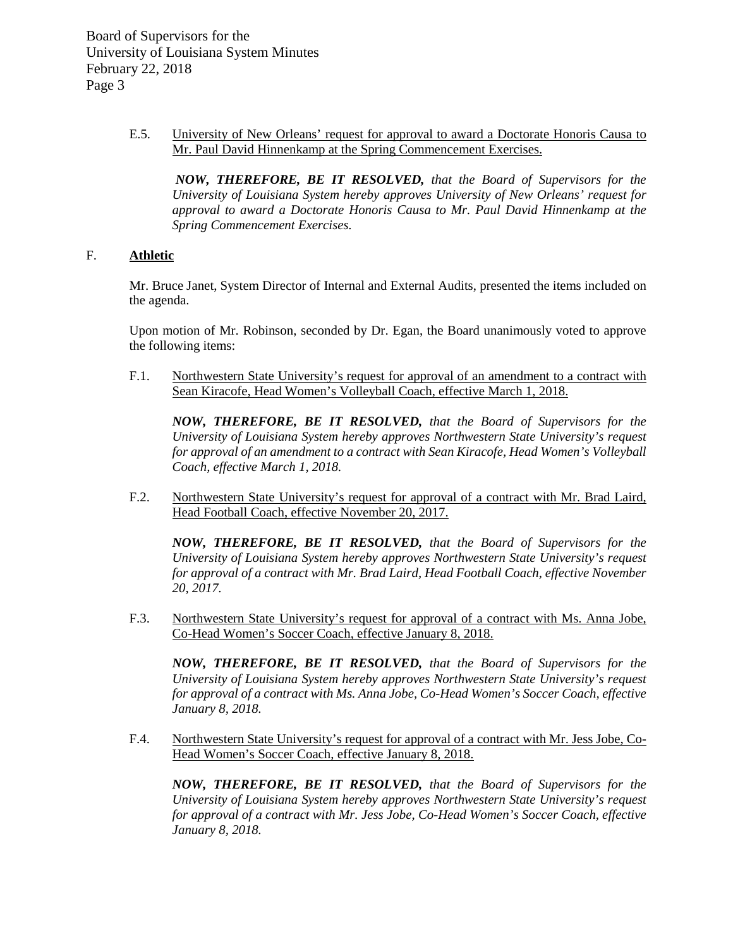> E.5. University of New Orleans' request for approval to award a Doctorate Honoris Causa to Mr. Paul David Hinnenkamp at the Spring Commencement Exercises.

*NOW, THEREFORE, BE IT RESOLVED, that the Board of Supervisors for the University of Louisiana System hereby approves University of New Orleans' request for approval to award a Doctorate Honoris Causa to Mr. Paul David Hinnenkamp at the Spring Commencement Exercises.*

# F. **Athletic**

Mr. Bruce Janet, System Director of Internal and External Audits, presented the items included on the agenda.

Upon motion of Mr. Robinson, seconded by Dr. Egan, the Board unanimously voted to approve the following items:

F.1. Northwestern State University's request for approval of an amendment to a contract with Sean Kiracofe, Head Women's Volleyball Coach, effective March 1, 2018.

*NOW, THEREFORE, BE IT RESOLVED, that the Board of Supervisors for the University of Louisiana System hereby approves Northwestern State University's request for approval of an amendment to a contract with Sean Kiracofe, Head Women's Volleyball Coach, effective March 1, 2018.*

F.2. Northwestern State University's request for approval of a contract with Mr. Brad Laird, Head Football Coach, effective November 20, 2017.

*NOW, THEREFORE, BE IT RESOLVED, that the Board of Supervisors for the University of Louisiana System hereby approves Northwestern State University's request for approval of a contract with Mr. Brad Laird, Head Football Coach, effective November 20, 2017.*

F.3. Northwestern State University's request for approval of a contract with Ms. Anna Jobe, Co-Head Women's Soccer Coach, effective January 8, 2018.

*NOW, THEREFORE, BE IT RESOLVED, that the Board of Supervisors for the University of Louisiana System hereby approves Northwestern State University's request for approval of a contract with Ms. Anna Jobe, Co-Head Women's Soccer Coach, effective January 8, 2018.*

F.4. Northwestern State University's request for approval of a contract with Mr. Jess Jobe, Co-Head Women's Soccer Coach, effective January 8, 2018.

*NOW, THEREFORE, BE IT RESOLVED, that the Board of Supervisors for the University of Louisiana System hereby approves Northwestern State University's request for approval of a contract with Mr. Jess Jobe, Co-Head Women's Soccer Coach, effective January 8, 2018.*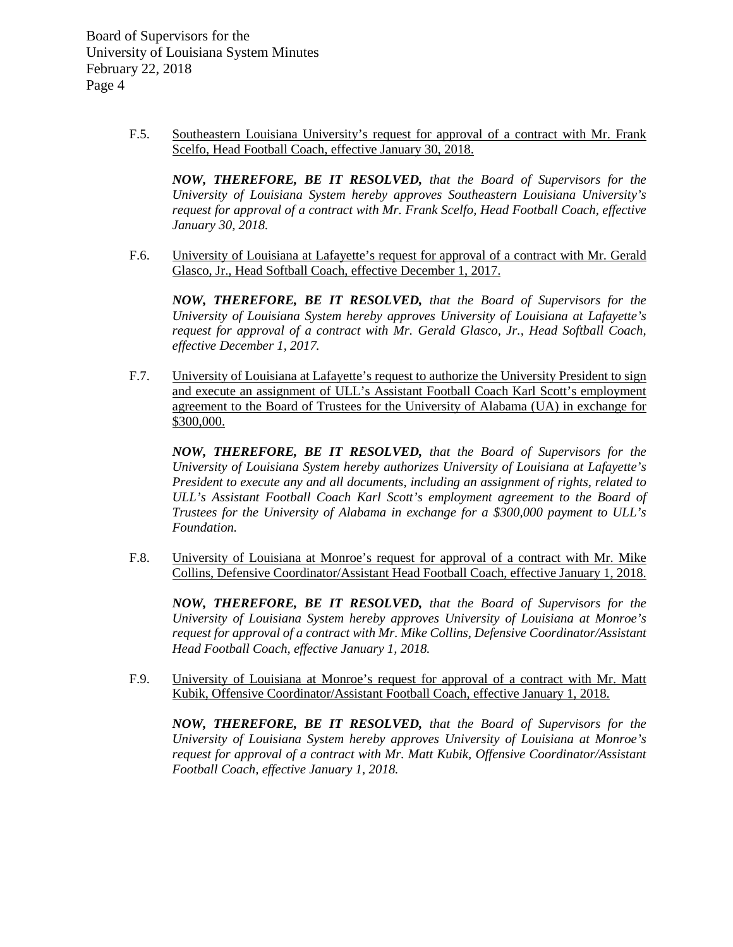> F.5. Southeastern Louisiana University's request for approval of a contract with Mr. Frank Scelfo, Head Football Coach, effective January 30, 2018.

*NOW, THEREFORE, BE IT RESOLVED, that the Board of Supervisors for the University of Louisiana System hereby approves Southeastern Louisiana University's request for approval of a contract with Mr. Frank Scelfo, Head Football Coach, effective January 30, 2018.*

F.6. University of Louisiana at Lafayette's request for approval of a contract with Mr. Gerald Glasco, Jr., Head Softball Coach, effective December 1, 2017.

*NOW, THEREFORE, BE IT RESOLVED, that the Board of Supervisors for the University of Louisiana System hereby approves University of Louisiana at Lafayette's request for approval of a contract with Mr. Gerald Glasco, Jr., Head Softball Coach, effective December 1, 2017.*

F.7. University of Louisiana at Lafayette's request to authorize the University President to sign and execute an assignment of ULL's Assistant Football Coach Karl Scott's employment agreement to the Board of Trustees for the University of Alabama (UA) in exchange for \$300,000.

*NOW, THEREFORE, BE IT RESOLVED, that the Board of Supervisors for the University of Louisiana System hereby authorizes University of Louisiana at Lafayette's President to execute any and all documents, including an assignment of rights, related to ULL's Assistant Football Coach Karl Scott's employment agreement to the Board of Trustees for the University of Alabama in exchange for a \$300,000 payment to ULL's Foundation.*

F.8. University of Louisiana at Monroe's request for approval of a contract with Mr. Mike Collins, Defensive Coordinator/Assistant Head Football Coach, effective January 1, 2018.

*NOW, THEREFORE, BE IT RESOLVED, that the Board of Supervisors for the University of Louisiana System hereby approves University of Louisiana at Monroe's request for approval of a contract with Mr. Mike Collins, Defensive Coordinator/Assistant Head Football Coach, effective January 1, 2018.*

F.9. University of Louisiana at Monroe's request for approval of a contract with Mr. Matt Kubik, Offensive Coordinator/Assistant Football Coach, effective January 1, 2018.

*NOW, THEREFORE, BE IT RESOLVED, that the Board of Supervisors for the University of Louisiana System hereby approves University of Louisiana at Monroe's request for approval of a contract with Mr. Matt Kubik, Offensive Coordinator/Assistant Football Coach, effective January 1, 2018.*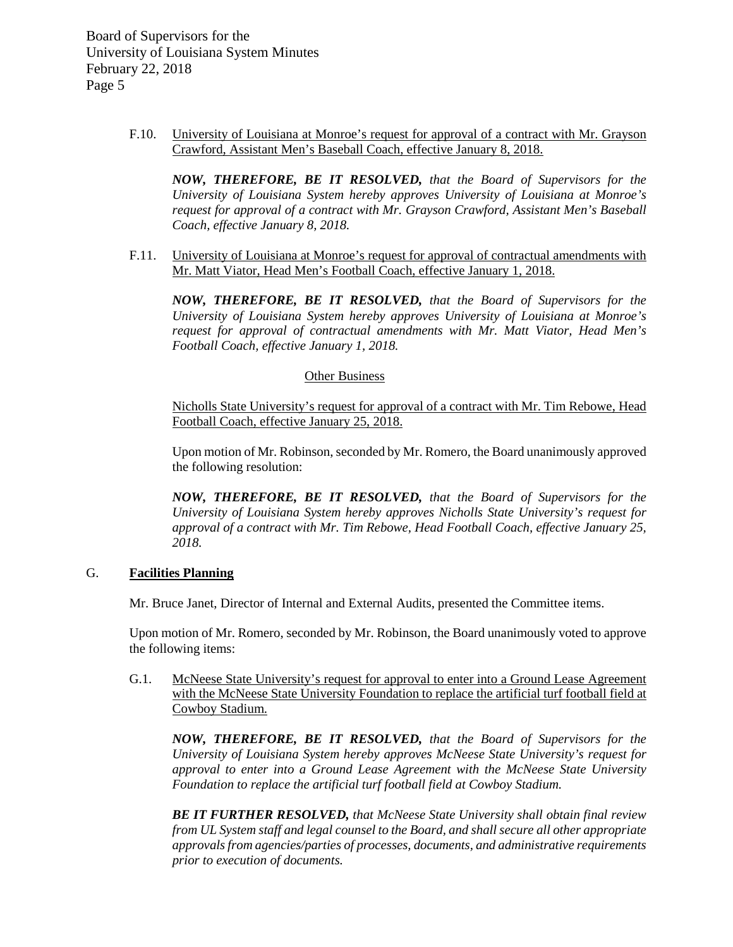> F.10. University of Louisiana at Monroe's request for approval of a contract with Mr. Grayson Crawford, Assistant Men's Baseball Coach, effective January 8, 2018.

*NOW, THEREFORE, BE IT RESOLVED, that the Board of Supervisors for the University of Louisiana System hereby approves University of Louisiana at Monroe's request for approval of a contract with Mr. Grayson Crawford, Assistant Men's Baseball Coach, effective January 8, 2018.* 

F.11. University of Louisiana at Monroe's request for approval of contractual amendments with Mr. Matt Viator, Head Men's Football Coach, effective January 1, 2018.

*NOW, THEREFORE, BE IT RESOLVED, that the Board of Supervisors for the University of Louisiana System hereby approves University of Louisiana at Monroe's request for approval of contractual amendments with Mr. Matt Viator, Head Men's Football Coach, effective January 1, 2018.*

#### Other Business

Nicholls State University's request for approval of a contract with Mr. Tim Rebowe, Head Football Coach, effective January 25, 2018.

Upon motion of Mr. Robinson, seconded by Mr. Romero, the Board unanimously approved the following resolution:

*NOW, THEREFORE, BE IT RESOLVED, that the Board of Supervisors for the University of Louisiana System hereby approves Nicholls State University's request for approval of a contract with Mr. Tim Rebowe, Head Football Coach, effective January 25, 2018.*

### G. **Facilities Planning**

Mr. Bruce Janet, Director of Internal and External Audits, presented the Committee items.

Upon motion of Mr. Romero, seconded by Mr. Robinson, the Board unanimously voted to approve the following items:

G.1. McNeese State University's request for approval to enter into a Ground Lease Agreement with the McNeese State University Foundation to replace the artificial turf football field at Cowboy Stadium.

*NOW, THEREFORE, BE IT RESOLVED, that the Board of Supervisors for the University of Louisiana System hereby approves McNeese State University's request for approval to enter into a Ground Lease Agreement with the McNeese State University Foundation to replace the artificial turf football field at Cowboy Stadium.* 

*BE IT FURTHER RESOLVED, that McNeese State University shall obtain final review from UL System staff and legal counsel to the Board, and shall secure all other appropriate approvals from agencies/parties of processes, documents, and administrative requirements prior to execution of documents.*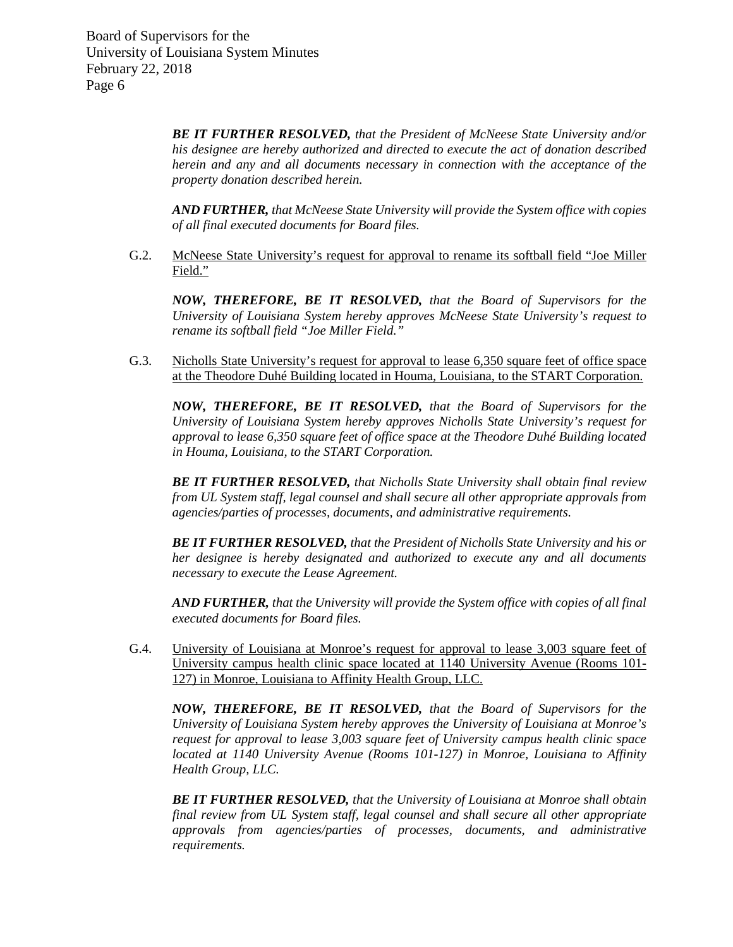> *BE IT FURTHER RESOLVED, that the President of McNeese State University and/or his designee are hereby authorized and directed to execute the act of donation described herein and any and all documents necessary in connection with the acceptance of the property donation described herein.*

> *AND FURTHER, that McNeese State University will provide the System office with copies of all final executed documents for Board files.*

G.2. McNeese State University's request for approval to rename its softball field "Joe Miller Field."

*NOW, THEREFORE, BE IT RESOLVED, that the Board of Supervisors for the University of Louisiana System hereby approves McNeese State University's request to rename its softball field "Joe Miller Field."* 

G.3. Nicholls State University's request for approval to lease 6,350 square feet of office space at the Theodore Duhé Building located in Houma, Louisiana, to the START Corporation.

*NOW, THEREFORE, BE IT RESOLVED, that the Board of Supervisors for the University of Louisiana System hereby approves Nicholls State University's request for approval to lease 6,350 square feet of office space at the Theodore Duhé Building located in Houma, Louisiana, to the START Corporation.* 

*BE IT FURTHER RESOLVED, that Nicholls State University shall obtain final review from UL System staff, legal counsel and shall secure all other appropriate approvals from agencies/parties of processes, documents, and administrative requirements.*

*BE IT FURTHER RESOLVED, that the President of Nicholls State University and his or her designee is hereby designated and authorized to execute any and all documents necessary to execute the Lease Agreement.*

*AND FURTHER, that the University will provide the System office with copies of all final executed documents for Board files.*

G.4. University of Louisiana at Monroe's request for approval to lease 3,003 square feet of University campus health clinic space located at 1140 University Avenue (Rooms 101- 127) in Monroe, Louisiana to Affinity Health Group, LLC.

*NOW, THEREFORE, BE IT RESOLVED, that the Board of Supervisors for the University of Louisiana System hereby approves the University of Louisiana at Monroe's request for approval to lease 3,003 square feet of University campus health clinic space located at 1140 University Avenue (Rooms 101-127) in Monroe, Louisiana to Affinity Health Group, LLC.*

*BE IT FURTHER RESOLVED, that the University of Louisiana at Monroe shall obtain final review from UL System staff, legal counsel and shall secure all other appropriate approvals from agencies/parties of processes, documents, and administrative requirements.*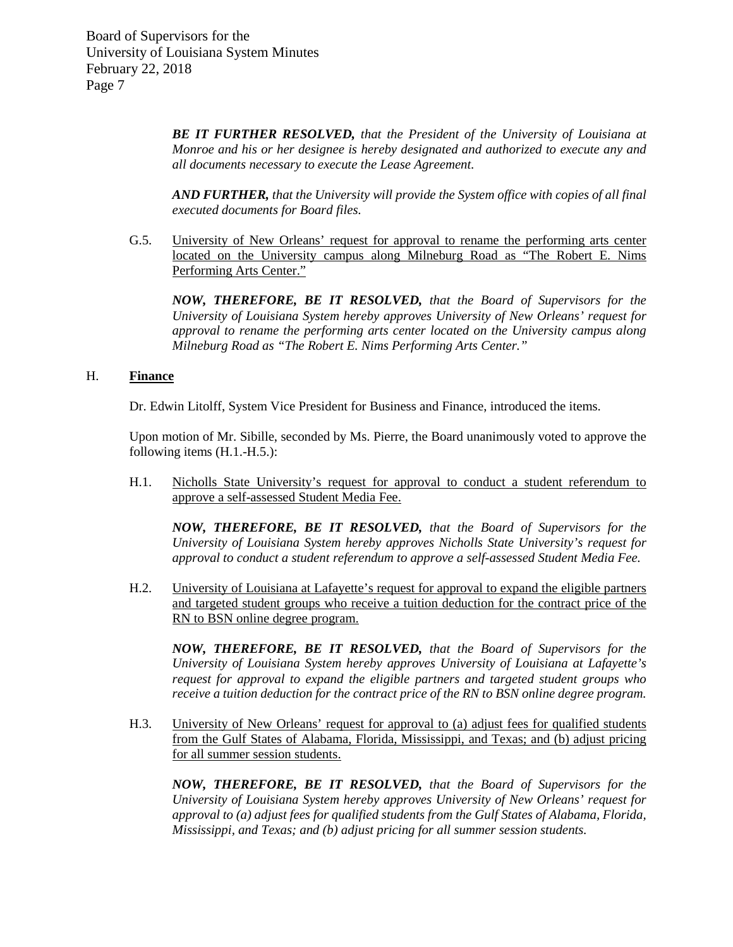> *BE IT FURTHER RESOLVED, that the President of the University of Louisiana at Monroe and his or her designee is hereby designated and authorized to execute any and all documents necessary to execute the Lease Agreement.*

> *AND FURTHER, that the University will provide the System office with copies of all final executed documents for Board files.*

G.5. University of New Orleans' request for approval to rename the performing arts center located on the University campus along Milneburg Road as "The Robert E. Nims Performing Arts Center."

*NOW, THEREFORE, BE IT RESOLVED, that the Board of Supervisors for the University of Louisiana System hereby approves University of New Orleans' request for approval to rename the performing arts center located on the University campus along Milneburg Road as "The Robert E. Nims Performing Arts Center."*

## H. **Finance**

Dr. Edwin Litolff, System Vice President for Business and Finance, introduced the items.

Upon motion of Mr. Sibille, seconded by Ms. Pierre, the Board unanimously voted to approve the following items (H.1.-H.5.):

H.1. Nicholls State University's request for approval to conduct a student referendum to approve a self-assessed Student Media Fee.

*NOW, THEREFORE, BE IT RESOLVED, that the Board of Supervisors for the University of Louisiana System hereby approves Nicholls State University's request for approval to conduct a student referendum to approve a self-assessed Student Media Fee.* 

H.2. University of Louisiana at Lafayette's request for approval to expand the eligible partners and targeted student groups who receive a tuition deduction for the contract price of the RN to BSN online degree program.

*NOW, THEREFORE, BE IT RESOLVED, that the Board of Supervisors for the University of Louisiana System hereby approves University of Louisiana at Lafayette's request for approval to expand the eligible partners and targeted student groups who receive a tuition deduction for the contract price of the RN to BSN online degree program.* 

H.3. University of New Orleans' request for approval to (a) adjust fees for qualified students from the Gulf States of Alabama, Florida, Mississippi, and Texas; and (b) adjust pricing for all summer session students.

*NOW, THEREFORE, BE IT RESOLVED, that the Board of Supervisors for the University of Louisiana System hereby approves University of New Orleans' request for approval to (a) adjust fees for qualified students from the Gulf States of Alabama, Florida, Mississippi, and Texas; and (b) adjust pricing for all summer session students.*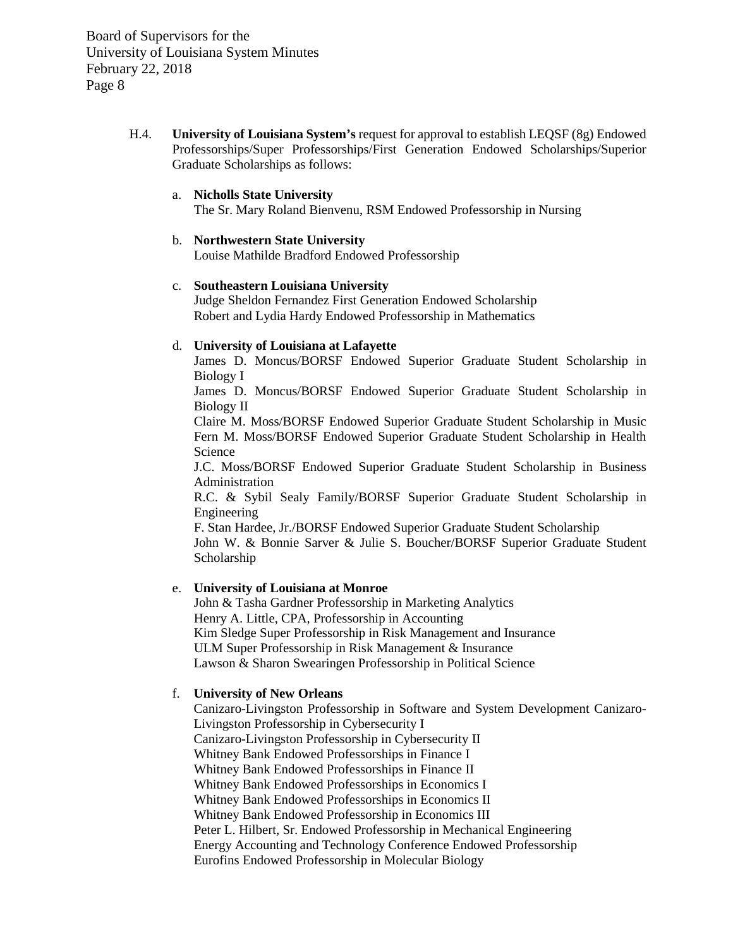> H.4. **University of Louisiana System's** request for approval to establish LEQSF (8g) Endowed Professorships/Super Professorships/First Generation Endowed Scholarships/Superior Graduate Scholarships as follows:

### a. **Nicholls State University**

The Sr. Mary Roland Bienvenu, RSM Endowed Professorship in Nursing

# b. **Northwestern State University**

Louise Mathilde Bradford Endowed Professorship

## c. **Southeastern Louisiana University**

Judge Sheldon Fernandez First Generation Endowed Scholarship Robert and Lydia Hardy Endowed Professorship in Mathematics

## d. **University of Louisiana at Lafayette**

James D. Moncus/BORSF Endowed Superior Graduate Student Scholarship in Biology I

James D. Moncus/BORSF Endowed Superior Graduate Student Scholarship in Biology II

Claire M. Moss/BORSF Endowed Superior Graduate Student Scholarship in Music Fern M. Moss/BORSF Endowed Superior Graduate Student Scholarship in Health Science

J.C. Moss/BORSF Endowed Superior Graduate Student Scholarship in Business Administration

R.C. & Sybil Sealy Family/BORSF Superior Graduate Student Scholarship in Engineering

F. Stan Hardee, Jr./BORSF Endowed Superior Graduate Student Scholarship

John W. & Bonnie Sarver & Julie S. Boucher/BORSF Superior Graduate Student Scholarship

### e. **University of Louisiana at Monroe**

John & Tasha Gardner Professorship in Marketing Analytics Henry A. Little, CPA, Professorship in Accounting Kim Sledge Super Professorship in Risk Management and Insurance ULM Super Professorship in Risk Management & Insurance Lawson & Sharon Swearingen Professorship in Political Science

#### f. **University of New Orleans**

Canizaro-Livingston Professorship in Software and System Development Canizaro-Livingston Professorship in Cybersecurity I Canizaro-Livingston Professorship in Cybersecurity II Whitney Bank Endowed Professorships in Finance I Whitney Bank Endowed Professorships in Finance II Whitney Bank Endowed Professorships in Economics I Whitney Bank Endowed Professorships in Economics II Whitney Bank Endowed Professorship in Economics III Peter L. Hilbert, Sr. Endowed Professorship in Mechanical Engineering Energy Accounting and Technology Conference Endowed Professorship Eurofins Endowed Professorship in Molecular Biology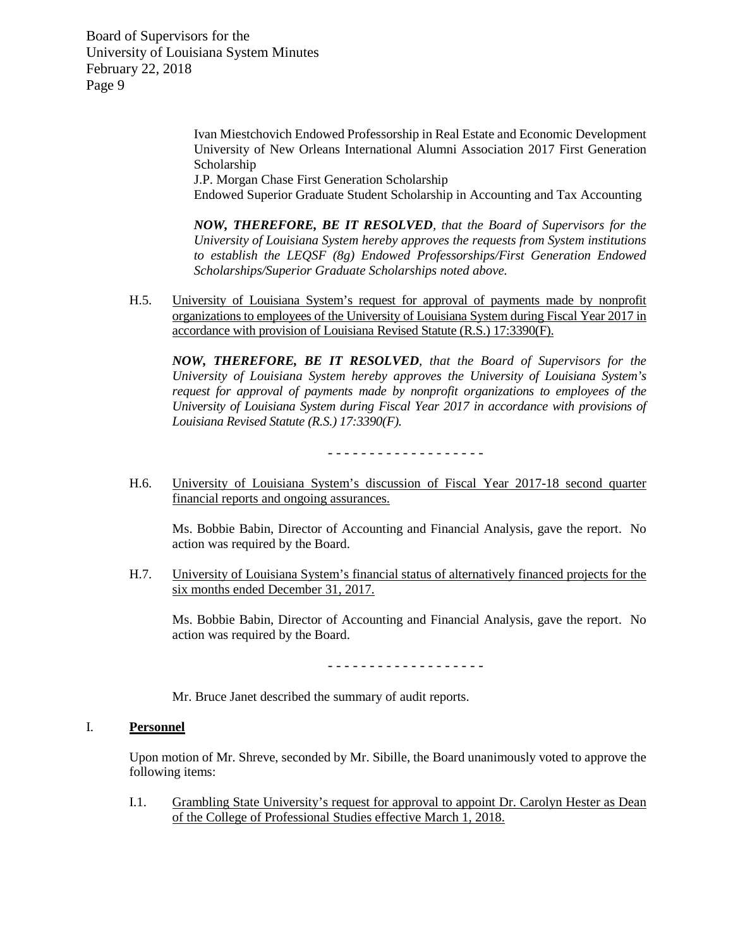> Ivan Miestchovich Endowed Professorship in Real Estate and Economic Development University of New Orleans International Alumni Association 2017 First Generation Scholarship

J.P. Morgan Chase First Generation Scholarship

Endowed Superior Graduate Student Scholarship in Accounting and Tax Accounting

*NOW, THEREFORE, BE IT RESOLVED, that the Board of Supervisors for the University of Louisiana System hereby approves the requests from System institutions to establish the LEQSF (8g) Endowed Professorships/First Generation Endowed Scholarships/Superior Graduate Scholarships noted above.*

H.5. University of Louisiana System's request for approval of payments made by nonprofit organizations to employees of the University of Louisiana System during Fiscal Year 2017 in accordance with provision of Louisiana Revised Statute (R.S.) 17:3390(F).

*NOW, THEREFORE, BE IT RESOLVED, that the Board of Supervisors for the University of Louisiana System hereby approves the University of Louisiana System's request for approval of payments made by nonprofit organizations to employees of the Univ*e*rsity of Louisiana System during Fiscal Year 2017 in accordance with provisions of Louisiana Revised Statute (R.S.) 17:3390(F).*

- - - - - - - - - - - - - - - - - - -

H.6. University of Louisiana System's discussion of Fiscal Year 2017-18 second quarter financial reports and ongoing assurances.

Ms. Bobbie Babin, Director of Accounting and Financial Analysis, gave the report. No action was required by the Board.

H.7. University of Louisiana System's financial status of alternatively financed projects for the six months ended December 31, 2017.

Ms. Bobbie Babin, Director of Accounting and Financial Analysis, gave the report. No action was required by the Board.

- - - - - - - - - - - - - - - - - - -

Mr. Bruce Janet described the summary of audit reports.

# I. **Personnel**

Upon motion of Mr. Shreve, seconded by Mr. Sibille, the Board unanimously voted to approve the following items:

I.1. Grambling State University's request for approval to appoint Dr. Carolyn Hester as Dean of the College of Professional Studies effective March 1, 2018.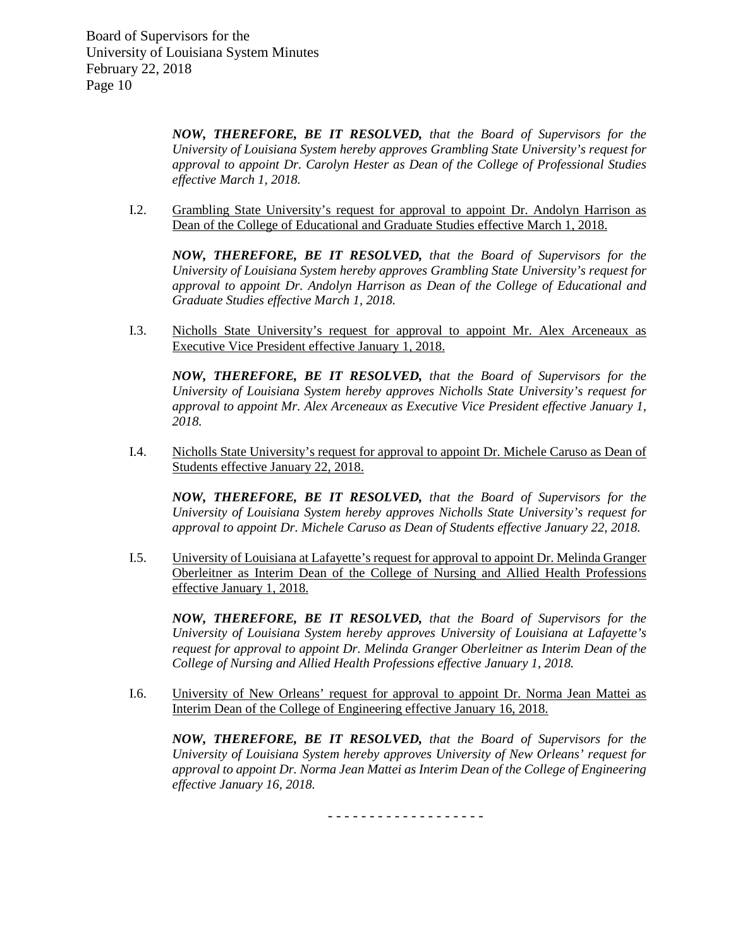*NOW, THEREFORE, BE IT RESOLVED, that the Board of Supervisors for the University of Louisiana System hereby approves Grambling State University's request for approval to appoint Dr. Carolyn Hester as Dean of the College of Professional Studies effective March 1, 2018.*

I.2. Grambling State University's request for approval to appoint Dr. Andolyn Harrison as Dean of the College of Educational and Graduate Studies effective March 1, 2018.

*NOW, THEREFORE, BE IT RESOLVED, that the Board of Supervisors for the University of Louisiana System hereby approves Grambling State University's request for approval to appoint Dr. Andolyn Harrison as Dean of the College of Educational and Graduate Studies effective March 1, 2018.*

I.3. Nicholls State University's request for approval to appoint Mr. Alex Arceneaux as Executive Vice President effective January 1, 2018.

*NOW, THEREFORE, BE IT RESOLVED, that the Board of Supervisors for the University of Louisiana System hereby approves Nicholls State University's request for approval to appoint Mr. Alex Arceneaux as Executive Vice President effective January 1, 2018.*

I.4. Nicholls State University's request for approval to appoint Dr. Michele Caruso as Dean of Students effective January 22, 2018.

*NOW, THEREFORE, BE IT RESOLVED, that the Board of Supervisors for the University of Louisiana System hereby approves Nicholls State University's request for approval to appoint Dr. Michele Caruso as Dean of Students effective January 22, 2018.*

I.5. University of Louisiana at Lafayette's request for approval to appoint Dr. Melinda Granger Oberleitner as Interim Dean of the College of Nursing and Allied Health Professions effective January 1, 2018.

*NOW, THEREFORE, BE IT RESOLVED, that the Board of Supervisors for the University of Louisiana System hereby approves University of Louisiana at Lafayette's request for approval to appoint Dr. Melinda Granger Oberleitner as Interim Dean of the College of Nursing and Allied Health Professions effective January 1, 2018.*

I.6. University of New Orleans' request for approval to appoint Dr. Norma Jean Mattei as Interim Dean of the College of Engineering effective January 16, 2018.

*NOW, THEREFORE, BE IT RESOLVED, that the Board of Supervisors for the University of Louisiana System hereby approves University of New Orleans' request for approval to appoint Dr. Norma Jean Mattei as Interim Dean of the College of Engineering effective January 16, 2018.*

- - - - - - - - - - - - - - - - - - -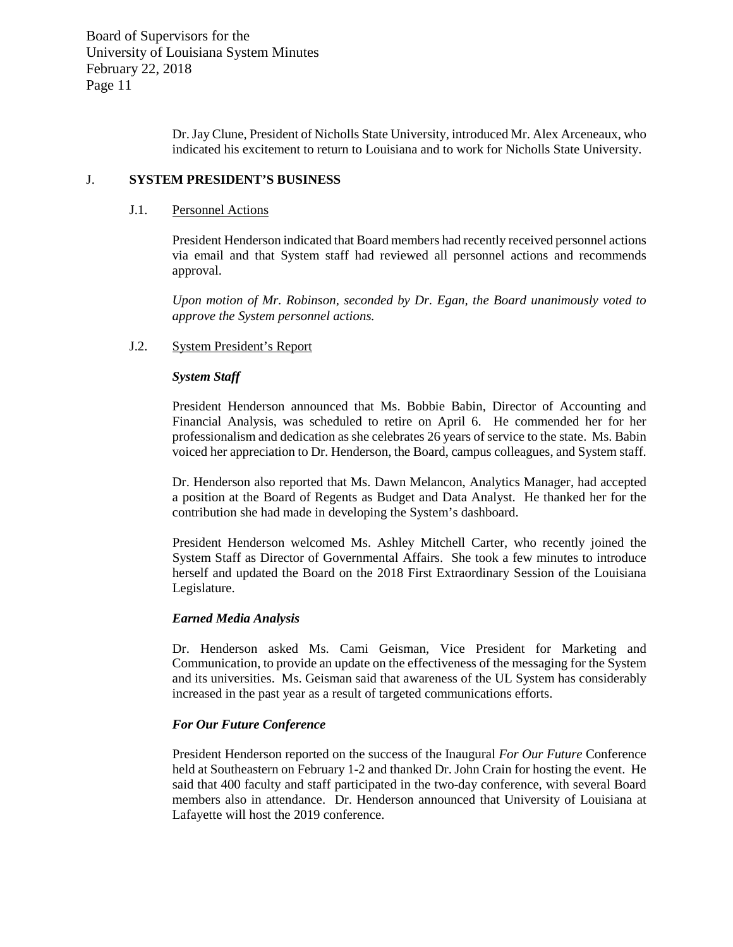Dr. Jay Clune, President of Nicholls State University, introduced Mr. Alex Arceneaux, who indicated his excitement to return to Louisiana and to work for Nicholls State University.

## J. **SYSTEM PRESIDENT'S BUSINESS**

### J.1. Personnel Actions

President Henderson indicated that Board members had recently received personnel actions via email and that System staff had reviewed all personnel actions and recommends approval.

*Upon motion of Mr. Robinson, seconded by Dr. Egan, the Board unanimously voted to approve the System personnel actions.*

# J.2. System President's Report

## *System Staff*

President Henderson announced that Ms. Bobbie Babin, Director of Accounting and Financial Analysis, was scheduled to retire on April 6. He commended her for her professionalism and dedication as she celebrates 26 years of service to the state. Ms. Babin voiced her appreciation to Dr. Henderson, the Board, campus colleagues, and System staff.

Dr. Henderson also reported that Ms. Dawn Melancon, Analytics Manager, had accepted a position at the Board of Regents as Budget and Data Analyst. He thanked her for the contribution she had made in developing the System's dashboard.

President Henderson welcomed Ms. Ashley Mitchell Carter, who recently joined the System Staff as Director of Governmental Affairs. She took a few minutes to introduce herself and updated the Board on the 2018 First Extraordinary Session of the Louisiana Legislature.

#### *Earned Media Analysis*

Dr. Henderson asked Ms. Cami Geisman, Vice President for Marketing and Communication, to provide an update on the effectiveness of the messaging for the System and its universities. Ms. Geisman said that awareness of the UL System has considerably increased in the past year as a result of targeted communications efforts.

# *For Our Future Conference*

President Henderson reported on the success of the Inaugural *For Our Future* Conference held at Southeastern on February 1-2 and thanked Dr. John Crain for hosting the event. He said that 400 faculty and staff participated in the two-day conference, with several Board members also in attendance. Dr. Henderson announced that University of Louisiana at Lafayette will host the 2019 conference.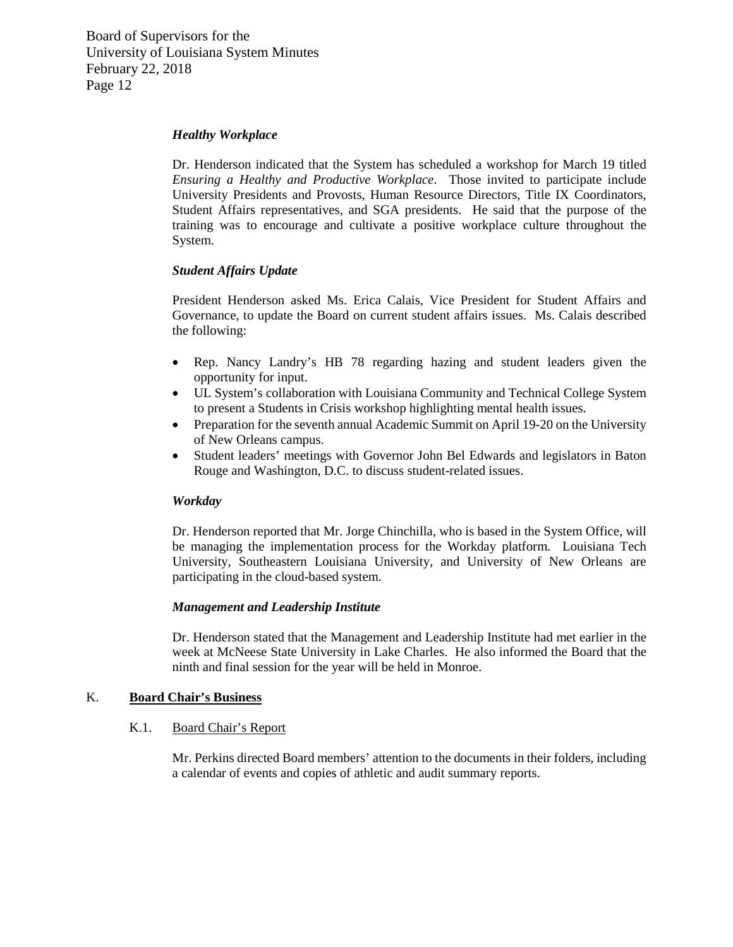### *Healthy Workplace*

Dr. Henderson indicated that the System has scheduled a workshop for March 19 titled *Ensuring a Healthy and Productive Workplace*. Those invited to participate include University Presidents and Provosts, Human Resource Directors, Title IX Coordinators, Student Affairs representatives, and SGA presidents. He said that the purpose of the training was to encourage and cultivate a positive workplace culture throughout the System.

# *Student Affairs Update*

President Henderson asked Ms. Erica Calais, Vice President for Student Affairs and Governance, to update the Board on current student affairs issues. Ms. Calais described the following:

- Rep. Nancy Landry's HB 78 regarding hazing and student leaders given the opportunity for input.
- UL System's collaboration with Louisiana Community and Technical College System to present a Students in Crisis workshop highlighting mental health issues.
- Preparation for the seventh annual Academic Summit on April 19-20 on the University of New Orleans campus.
- Student leaders' meetings with Governor John Bel Edwards and legislators in Baton Rouge and Washington, D.C. to discuss student-related issues.

#### *Workday*

Dr. Henderson reported that Mr. Jorge Chinchilla, who is based in the System Office, will be managing the implementation process for the Workday platform. Louisiana Tech University, Southeastern Louisiana University, and University of New Orleans are participating in the cloud-based system.

# *Management and Leadership Institute*

Dr. Henderson stated that the Management and Leadership Institute had met earlier in the week at McNeese State University in Lake Charles. He also informed the Board that the ninth and final session for the year will be held in Monroe.

# K. **Board Chair's Business**

#### K.1. Board Chair's Report

Mr. Perkins directed Board members' attention to the documents in their folders, including a calendar of events and copies of athletic and audit summary reports.